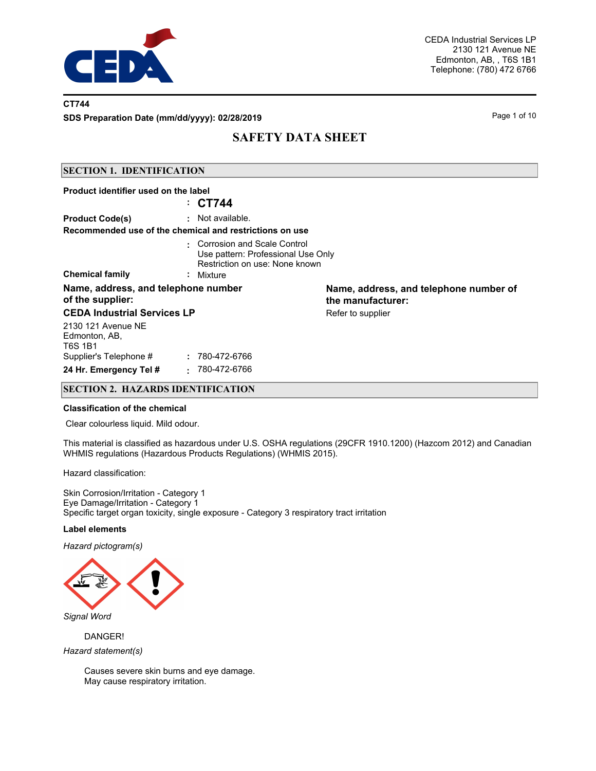

#### **CT744**

**SDS Preparation Date (mm/dd/yyyy): 02/28/2019 Page 1 of 10** Page 1 of 10

# **SAFETY DATA SHEET**

### **SECTION 1. IDENTIFICATION**

| Product identifier used on the label                                                                                                       |    | : CT744            |                                                             |  |
|--------------------------------------------------------------------------------------------------------------------------------------------|----|--------------------|-------------------------------------------------------------|--|
| <b>Product Code(s)</b><br>Recommended use of the chemical and restrictions on use                                                          |    | $:$ Not available. |                                                             |  |
| Corrosion and Scale Control<br>Use pattern: Professional Use Only<br>Restriction on use: None known<br><b>Chemical family</b><br>: Mixture |    |                    |                                                             |  |
| Name, address, and telephone number<br>of the supplier:                                                                                    |    |                    | Name, address, and telephone number of<br>the manufacturer: |  |
| <b>CEDA Industrial Services LP</b>                                                                                                         |    |                    | Refer to supplier                                           |  |
| 2130 121 Avenue NE<br>Edmonton, AB,<br>T6S 1B1                                                                                             |    |                    |                                                             |  |
| Supplier's Telephone #                                                                                                                     |    | : 780-472-6766     |                                                             |  |
| 24 Hr. Emergency Tel #                                                                                                                     | ۰. | 780-472-6766       |                                                             |  |

### **SECTION 2. HAZARDS IDENTIFICATION**

#### **Classification of the chemical**

Clear colourless liquid. Mild odour.

This material is classified as hazardous under U.S. OSHA regulations (29CFR 1910.1200) (Hazcom 2012) and Canadian WHMIS regulations (Hazardous Products Regulations) (WHMIS 2015).

Hazard classification:

Skin Corrosion/Irritation - Category 1 Eye Damage/Irritation - Category 1 Specific target organ toxicity, single exposure - Category 3 respiratory tract irritation

#### **Label elements**

*Hazard pictogram(s)*



*Signal Word*

DANGER!

*Hazard statement(s)*

Causes severe skin burns and eye damage. May cause respiratory irritation.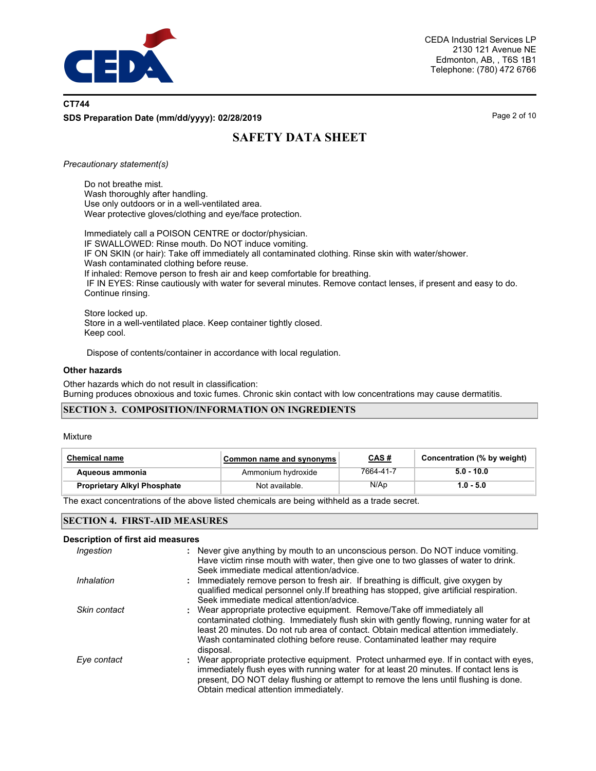

## **CT744 SDS Preparation Date (mm/dd/yyyy): 02/28/2019 Page 2 of 10** Page 2 of 10

# **SAFETY DATA SHEET**

#### *Precautionary statement(s)*

Do not breathe mist. Wash thoroughly after handling. Use only outdoors or in a well-ventilated area. Wear protective gloves/clothing and eye/face protection.

Immediately call a POISON CENTRE or doctor/physician. IF SWALLOWED: Rinse mouth. Do NOT induce vomiting. IF ON SKIN (or hair): Take off immediately all contaminated clothing. Rinse skin with water/shower. Wash contaminated clothing before reuse. If inhaled: Remove person to fresh air and keep comfortable for breathing. IF IN EYES: Rinse cautiously with water for several minutes. Remove contact lenses, if present and easy to do. Continue rinsing.

Store locked up. Store in a well-ventilated place. Keep container tightly closed. Keep cool.

Dispose of contents/container in accordance with local regulation.

#### **Other hazards**

Other hazards which do not result in classification: Burning produces obnoxious and toxic fumes. Chronic skin contact with low concentrations may cause dermatitis.

#### **SECTION 3. COMPOSITION/INFORMATION ON INGREDIENTS**

#### Mixture

| <b>Chemical name</b>               | Common name and synonyms | <u>CAS#</u> | Concentration (% by weight) |
|------------------------------------|--------------------------|-------------|-----------------------------|
| Aqueous ammonia                    | Ammonium hydroxide       | 7664-41-7   | $5.0 - 10.0$                |
| <b>Proprietary Alkyl Phosphate</b> | Not available.           | N/Ap        | $1.0 - 5.0$                 |

The exact concentrations of the above listed chemicals are being withheld as a trade secret.

#### **SECTION 4. FIRST-AID MEASURES**

#### **Description of first aid measures**

| Ingestion    | : Never give anything by mouth to an unconscious person. Do NOT induce vomiting.<br>Have victim rinse mouth with water, then give one to two glasses of water to drink.<br>Seek immediate medical attention/advice.                                                                                                                                  |
|--------------|------------------------------------------------------------------------------------------------------------------------------------------------------------------------------------------------------------------------------------------------------------------------------------------------------------------------------------------------------|
| Inhalation   | : Immediately remove person to fresh air. If breathing is difficult, give oxygen by<br>qualified medical personnel only. If breathing has stopped, give artificial respiration.<br>Seek immediate medical attention/advice.                                                                                                                          |
| Skin contact | : Wear appropriate protective equipment. Remove/Take off immediately all<br>contaminated clothing. Immediately flush skin with gently flowing, running water for at<br>least 20 minutes. Do not rub area of contact. Obtain medical attention immediately.<br>Wash contaminated clothing before reuse. Contaminated leather may require<br>disposal. |
| Eye contact  | : Wear appropriate protective equipment. Protect unharmed eye. If in contact with eyes,<br>immediately flush eyes with running water for at least 20 minutes. If contact lens is<br>present, DO NOT delay flushing or attempt to remove the lens until flushing is done.<br>Obtain medical attention immediately.                                    |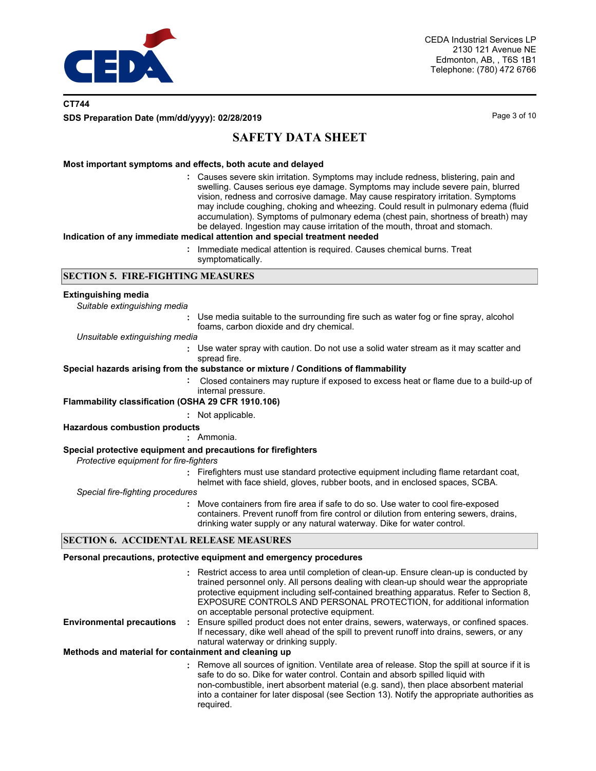

### **CT744 SDS Preparation Date (mm/dd/yyyy): 02/28/2019 Page 3 of 10** Page 3 of 10

## **SAFETY DATA SHEET**

#### **Most important symptoms and effects, both acute and delayed**

Causes severe skin irritation. Symptoms may include redness, blistering, pain and **:** swelling. Causes serious eye damage. Symptoms may include severe pain, blurred vision, redness and corrosive damage. May cause respiratory irritation. Symptoms may include coughing, choking and wheezing. Could result in pulmonary edema (fluid accumulation). Symptoms of pulmonary edema (chest pain, shortness of breath) may be delayed. Ingestion may cause irritation of the mouth, throat and stomach.

#### **Indication of any immediate medical attention and special treatment needed**

**:** Immediate medical attention is required. Causes chemical burns. Treat symptomatically.

#### **SECTION 5. FIRE-FIGHTING MEASURES**

#### **Extinguishing media**

*Suitable extinguishing media*

- Use media suitable to the surrounding fire such as water fog or fine spray, alcohol foams, carbon dioxide and dry chemical.
- *Unsuitable extinguishing media*
	- Use water spray with caution. Do not use a solid water stream as it may scatter and spread fire.
- **Special hazards arising from the substance or mixture / Conditions of flammability**
	- Closed containers may rupture if exposed to excess heat or flame due to a build-up of **:** internal pressure.
- **Flammability classification (OSHA 29 CFR 1910.106)**

#### **:** Not applicable.

**Hazardous combustion products**

**:** Ammonia.

#### **Special protective equipment and precautions for firefighters**

**:**

**:**

*Protective equipment for fire-fighters*

**:** Firefighters must use standard protective equipment including flame retardant coat, helmet with face shield, gloves, rubber boots, and in enclosed spaces, SCBA.

#### *Special fire-fighting procedures*

**:** Move containers from fire area if safe to do so. Use water to cool fire-exposed containers. Prevent runoff from fire control or dilution from entering sewers, drains, drinking water supply or any natural waterway. Dike for water control.

#### **SECTION 6. ACCIDENTAL RELEASE MEASURES**

#### **Personal precautions, protective equipment and emergency procedures**

required.

Restrict access to area until completion of clean-up. Ensure clean-up is conducted by **:** trained personnel only. All persons dealing with clean-up should wear the appropriate protective equipment including self-contained breathing apparatus. Refer to Section 8, EXPOSURE CONTROLS AND PERSONAL PROTECTION, for additional information on acceptable personal protective equipment. Ensure spilled product does not enter drains, sewers, waterways, or confined spaces. If necessary, dike well ahead of the spill to prevent runoff into drains, sewers, or any natural waterway or drinking supply. **Environmental precautions :** Remove all sources of ignition. Ventilate area of release. Stop the spill at source if it is **:** safe to do so. Dike for water control. Contain and absorb spilled liquid with non-combustible, inert absorbent material (e.g. sand), then place absorbent material into a container for later disposal (see Section 13). Notify the appropriate authorities as **Methods and material for containment and cleaning up**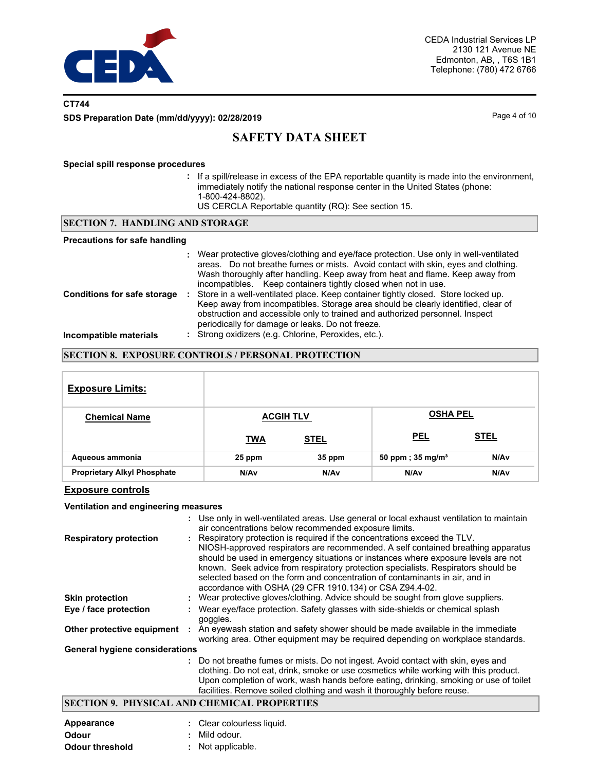

## **CT744 SDS Preparation Date (mm/dd/yyyy): 02/28/2019 Page 4 of 10** Page 4 of 10

# **SAFETY DATA SHEET**

#### **Special spill response procedures**

- **:** If a spill/release in excess of the EPA reportable quantity is made into the environment, immediately notify the national response center in the United States (phone: 1-800-424-8802).
	- US CERCLA Reportable quantity (RQ): See section 15.

#### **SECTION 7. HANDLING AND STORAGE**

#### **Precautions for safe handling**

| <b>Conditions for safe storage</b> | : Wear protective gloves/clothing and eye/face protection. Use only in well-ventilated<br>areas. Do not breathe fumes or mists. Avoid contact with skin, eyes and clothing.<br>Wash thoroughly after handling. Keep away from heat and flame. Keep away from<br>incompatibles. Keep containers tightly closed when not in use.<br>Store in a well-ventilated place. Keep container tightly closed. Store locked up.<br>Keep away from incompatibles. Storage area should be clearly identified, clear of<br>obstruction and accessible only to trained and authorized personnel. Inspect<br>periodically for damage or leaks. Do not freeze. |
|------------------------------------|----------------------------------------------------------------------------------------------------------------------------------------------------------------------------------------------------------------------------------------------------------------------------------------------------------------------------------------------------------------------------------------------------------------------------------------------------------------------------------------------------------------------------------------------------------------------------------------------------------------------------------------------|
| Incompatible materials             | : Strong oxidizers (e.g. Chlorine, Peroxides, etc.).                                                                                                                                                                                                                                                                                                                                                                                                                                                                                                                                                                                         |

### **SECTION 8. EXPOSURE CONTROLS / PERSONAL PROTECTION**

| <b>Exposure Limits:</b>            |                  |                  |                             |                  |
|------------------------------------|------------------|------------------|-----------------------------|------------------|
| <b>Chemical Name</b>               | <b>ACGIH TLV</b> |                  | <b>OSHA PEL</b>             |                  |
|                                    | <b>TWA</b>       | <b>STEL</b>      | <b>PEL</b>                  | <b>STEL</b>      |
| Aqueous ammonia                    | 25 ppm           | 35 ppm           | 50 ppm; $35 \text{ mg/m}^3$ | N/Av             |
| <b>Proprietary Alkyl Phosphate</b> | N/Av             | N/A <sub>v</sub> | N/Av                        | N/A <sub>v</sub> |

#### **Exposure controls**

#### **Ventilation and engineering measures**

| <b>Respiratory protection</b>         | : Use only in well-ventilated areas. Use general or local exhaust ventilation to maintain<br>air concentrations below recommended exposure limits.<br>: Respiratory protection is required if the concentrations exceed the TLV.<br>NIOSH-approved respirators are recommended. A self contained breathing apparatus<br>should be used in emergency situations or instances where exposure levels are not<br>known. Seek advice from respiratory protection specialists. Respirators should be<br>selected based on the form and concentration of contaminants in air, and in<br>accordance with OSHA (29 CFR 1910.134) or CSA Z94.4-02. |  |
|---------------------------------------|------------------------------------------------------------------------------------------------------------------------------------------------------------------------------------------------------------------------------------------------------------------------------------------------------------------------------------------------------------------------------------------------------------------------------------------------------------------------------------------------------------------------------------------------------------------------------------------------------------------------------------------|--|
| <b>Skin protection</b>                | : Wear protective gloves/clothing. Advice should be sought from glove suppliers.                                                                                                                                                                                                                                                                                                                                                                                                                                                                                                                                                         |  |
| Eye / face protection                 | Wear eye/face protection. Safety glasses with side-shields or chemical splash<br>goggles.                                                                                                                                                                                                                                                                                                                                                                                                                                                                                                                                                |  |
| Other protective equipment            | : An eyewash station and safety shower should be made available in the immediate<br>working area. Other equipment may be required depending on workplace standards.                                                                                                                                                                                                                                                                                                                                                                                                                                                                      |  |
| <b>General hygiene considerations</b> |                                                                                                                                                                                                                                                                                                                                                                                                                                                                                                                                                                                                                                          |  |
|                                       | : Do not breathe fumes or mists. Do not ingest. Avoid contact with skin, eyes and<br>clothing. Do not eat, drink, smoke or use cosmetics while working with this product.<br>Upon completion of work, wash hands before eating, drinking, smoking or use of toilet<br>facilities. Remove soiled clothing and wash it thoroughly before reuse.                                                                                                                                                                                                                                                                                            |  |
|                                       | <b>SECTION 9. PHYSICAL AND CHEMICAL PROPERTIES</b>                                                                                                                                                                                                                                                                                                                                                                                                                                                                                                                                                                                       |  |
| Appearance                            | : Clear colourless liquid.                                                                                                                                                                                                                                                                                                                                                                                                                                                                                                                                                                                                               |  |

| Odour           | : Mild odour.     |
|-----------------|-------------------|
| Odour threshold | : Not applicable. |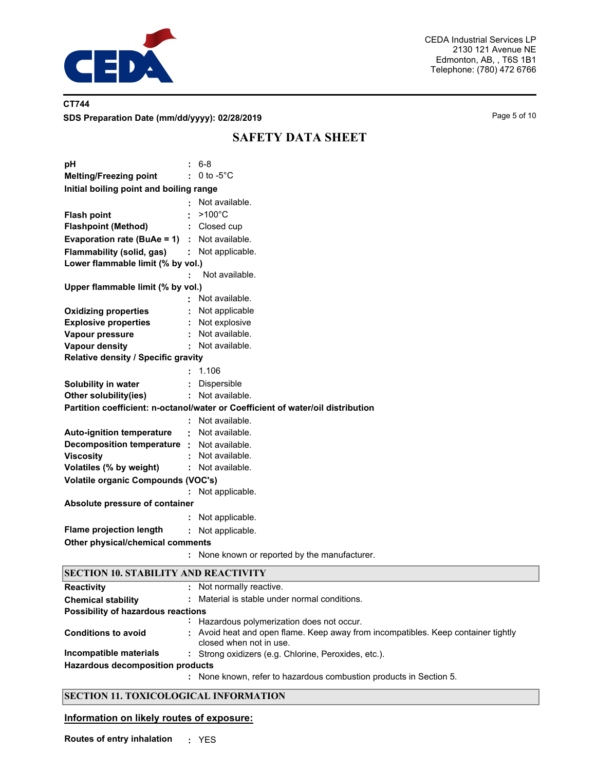

## **CT744 SDS Preparation Date (mm/dd/yyyy): 02/28/2019 Page 5 of 10** Page 5 of 10

# **SAFETY DATA SHEET**

| рH                                              |    | $: 6-8$                                                                         |  |  |
|-------------------------------------------------|----|---------------------------------------------------------------------------------|--|--|
| <b>Melting/Freezing point</b>                   |    | : 0 to -5 $^{\circ}$ C                                                          |  |  |
| Initial boiling point and boiling range         |    |                                                                                 |  |  |
|                                                 |    | Not available.                                                                  |  |  |
| <b>Flash point</b>                              |    | $>100^{\circ}$ C                                                                |  |  |
| <b>Flashpoint (Method)</b>                      |    | : Closed cup                                                                    |  |  |
| Evaporation rate (BuAe = $1$ ) : Not available. |    |                                                                                 |  |  |
| <b>Flammability (solid, gas)</b>                |    | : Not applicable.                                                               |  |  |
| Lower flammable limit (% by vol.)               |    |                                                                                 |  |  |
|                                                 |    | Not available.                                                                  |  |  |
| Upper flammable limit (% by vol.)               |    |                                                                                 |  |  |
|                                                 |    | Not available.                                                                  |  |  |
| <b>Oxidizing properties</b>                     | ÷. | Not applicable                                                                  |  |  |
| <b>Explosive properties</b>                     |    | Not explosive                                                                   |  |  |
| Vapour pressure                                 |    | Not available.                                                                  |  |  |
| <b>Vapour density</b>                           |    | : Not available.                                                                |  |  |
| Relative density / Specific gravity             |    |                                                                                 |  |  |
|                                                 |    | 1.106                                                                           |  |  |
| Solubility in water                             |    | : Dispersible                                                                   |  |  |
| Other solubility(ies)                           |    | : Not available.                                                                |  |  |
|                                                 |    | Partition coefficient: n-octanol/water or Coefficient of water/oil distribution |  |  |
|                                                 |    | Not available.                                                                  |  |  |
| <b>Auto-ignition temperature</b>                |    | : Not available.                                                                |  |  |
| Decomposition temperature : Not available.      |    |                                                                                 |  |  |
| <b>Viscosity</b>                                |    | : Not available.                                                                |  |  |
| Volatiles (% by weight)                         |    | : Not available.                                                                |  |  |
| <b>Volatile organic Compounds (VOC's)</b>       |    |                                                                                 |  |  |
|                                                 |    | Not applicable.                                                                 |  |  |
| Absolute pressure of container                  |    |                                                                                 |  |  |
|                                                 |    | Not applicable.                                                                 |  |  |
| <b>Flame projection length</b>                  |    | : Not applicable.                                                               |  |  |
| Other physical/chemical comments                |    |                                                                                 |  |  |
|                                                 |    | None known or reported by the manufacturer.                                     |  |  |
| <b>SECTION 10. STABILITY AND REACTIVITY</b>     |    |                                                                                 |  |  |
| <b>Reactivity</b>                               |    | : Not normally reactive.                                                        |  |  |
| <b>Chemical stability</b>                       |    | Material is stable under normal conditions.                                     |  |  |
| Possibility of hazardous reactions              |    |                                                                                 |  |  |
|                                                 |    | Hazardous polymerization does not occur.                                        |  |  |

**:** Avoid heat and open flame. Keep away from incompatibles. Keep container tightly closed when not in use. **Conditions to avoid Incompatible materials :** Strong oxidizers (e.g. Chlorine, Peroxides, etc.).

**Hazardous decomposition products**

None known, refer to hazardous combustion products in Section 5. **:**

## **SECTION 11. TOXICOLOGICAL INFORMATION**

### **Information on likely routes of exposure:**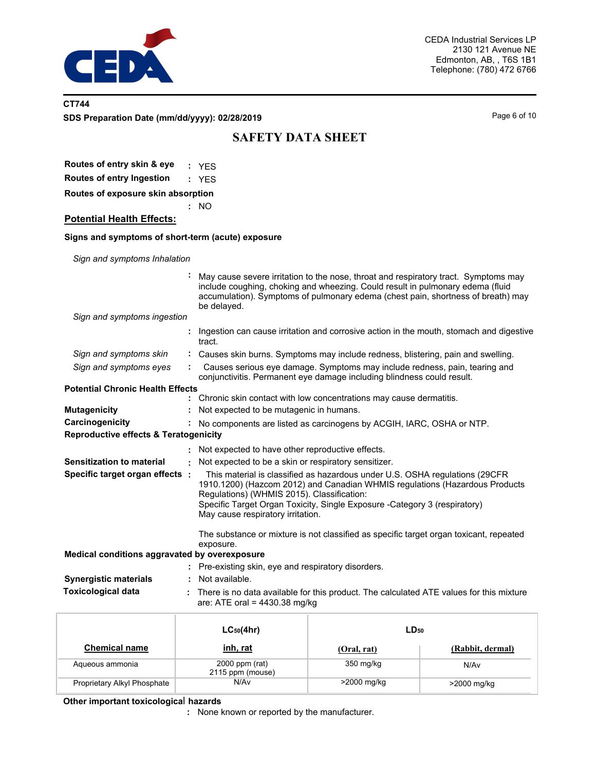

## **CT744 SDS Preparation Date (mm/dd/yyyy): 02/28/2019 Page 6 of 10** Page 6 of 10

# **SAFETY DATA SHEET**

**Routes of entry skin & eye :** YES **Routes of entry Ingestion :** YES

**Routes of exposure skin absorption**

**Potential Health Effects:**

## **Signs and symptoms of short-term (acute) exposure**

**:** NO

*Sign and symptoms Inhalation*

|                                                  | are: ATE oral = 4430.38 mg/kg                                                                                                                                                                                                                                            |
|--------------------------------------------------|--------------------------------------------------------------------------------------------------------------------------------------------------------------------------------------------------------------------------------------------------------------------------|
| <b>Toxicological data</b>                        | There is no data available for this product. The calculated ATE values for this mixture                                                                                                                                                                                  |
| <b>Synergistic materials</b>                     | Not available.                                                                                                                                                                                                                                                           |
|                                                  | Pre-existing skin, eye and respiratory disorders.                                                                                                                                                                                                                        |
| Medical conditions aggravated by overexposure    |                                                                                                                                                                                                                                                                          |
|                                                  | The substance or mixture is not classified as specific target organ toxicant, repeated<br>exposure.                                                                                                                                                                      |
|                                                  | Regulations) (WHMIS 2015). Classification:<br>Specific Target Organ Toxicity, Single Exposure - Category 3 (respiratory)<br>May cause respiratory irritation.                                                                                                            |
| Specific target organ effects :                  | This material is classified as hazardous under U.S. OSHA regulations (29CFR<br>1910.1200) (Hazcom 2012) and Canadian WHMIS regulations (Hazardous Products                                                                                                               |
| <b>Sensitization to material</b>                 | Not expected to be a skin or respiratory sensitizer.                                                                                                                                                                                                                     |
|                                                  | Not expected to have other reproductive effects.                                                                                                                                                                                                                         |
| <b>Reproductive effects &amp; Teratogenicity</b> |                                                                                                                                                                                                                                                                          |
| Carcinogenicity                                  | : No components are listed as carcinogens by ACGIH, IARC, OSHA or NTP.                                                                                                                                                                                                   |
| <b>Mutagenicity</b>                              | Not expected to be mutagenic in humans.                                                                                                                                                                                                                                  |
|                                                  | Chronic skin contact with low concentrations may cause dermatitis.                                                                                                                                                                                                       |
| <b>Potential Chronic Health Effects</b>          |                                                                                                                                                                                                                                                                          |
| Sign and symptoms eyes                           | Causes serious eye damage. Symptoms may include redness, pain, tearing and<br>conjunctivitis. Permanent eye damage including blindness could result.                                                                                                                     |
| Sign and symptoms skin                           | Causes skin burns. Symptoms may include redness, blistering, pain and swelling.                                                                                                                                                                                          |
|                                                  | Ingestion can cause irritation and corrosive action in the mouth, stomach and digestive<br>tract.                                                                                                                                                                        |
| Sign and symptoms ingestion                      |                                                                                                                                                                                                                                                                          |
|                                                  | May cause severe irritation to the nose, throat and respiratory tract. Symptoms may<br>include coughing, choking and wheezing. Could result in pulmonary edema (fluid<br>accumulation). Symptoms of pulmonary edema (chest pain, shortness of breath) may<br>be delayed. |

|                             | $LC_{50}(4hr)$<br>LD <sub>50</sub> |             |                  |  |
|-----------------------------|------------------------------------|-------------|------------------|--|
| <b>Chemical name</b>        | <u>inh, rat</u>                    | (Oral, rat) | (Rabbit, dermal) |  |
| Aqueous ammonia             | 2000 ppm (rat)<br>2115 ppm (mouse) | 350 mg/kg   | N/Av             |  |
| Proprietary Alkyl Phosphate | N/A <sub>v</sub>                   | >2000 mg/kg | >2000 mg/kg      |  |

### **Other important toxicologica**l **hazards**

**:** None known or reported by the manufacturer.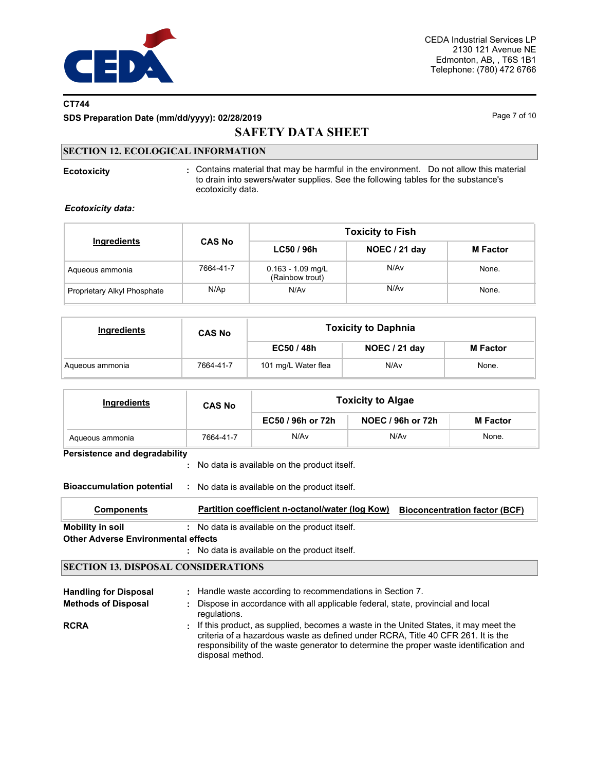

### **CT744**

**SDS Preparation Date (mm/dd/yyyy): 02/28/2019 Page 7 of 10** Page 7 of 10

## **SAFETY DATA SHEET**

## **SECTION 12. ECOLOGICAL INFORMATION**

**Ecotoxicity :**

Contains material that may be harmful in the environment. Do not allow this material to drain into sewers/water supplies. See the following tables for the substance's ecotoxicity data.

*Ecotoxicity data:*

| Ingredients                 | <b>CAS No</b> | <b>Toxicity to Fish</b>                |               |                 |  |
|-----------------------------|---------------|----------------------------------------|---------------|-----------------|--|
|                             |               | LC50/96h                               | NOEC / 21 day | <b>M</b> Factor |  |
| Aqueous ammonia             | 7664-41-7     | $0.163 - 1.09$ mg/L<br>(Rainbow trout) | N/Av          | None.           |  |
| Proprietary Alkyl Phosphate | N/Ap          | N/A <sub>v</sub>                       | N/Av          | None.           |  |

| Ingredients     | <b>CAS No</b> | <b>Toxicity to Daphnia</b> |               |                 |  |
|-----------------|---------------|----------------------------|---------------|-----------------|--|
|                 |               | EC50 / 48h                 | NOEC / 21 day | <b>M</b> Factor |  |
| Aqueous ammonia | 7664-41-7     | 101 mg/L Water flea        | N/Av          | None.           |  |

| Ingredients                                | <b>CAS No</b>                                                                           | <b>Toxicity to Algae</b>                                                                                                                                                                                                                                            |                   |                 |  |  |  |
|--------------------------------------------|-----------------------------------------------------------------------------------------|---------------------------------------------------------------------------------------------------------------------------------------------------------------------------------------------------------------------------------------------------------------------|-------------------|-----------------|--|--|--|
|                                            |                                                                                         | EC50 / 96h or 72h                                                                                                                                                                                                                                                   | NOEC / 96h or 72h | <b>M</b> Factor |  |  |  |
| Aqueous ammonia                            | 7664-41-7                                                                               | N/A <sub>v</sub><br>N/Av<br>None.                                                                                                                                                                                                                                   |                   |                 |  |  |  |
| Persistence and degradability              |                                                                                         |                                                                                                                                                                                                                                                                     |                   |                 |  |  |  |
|                                            |                                                                                         | : No data is available on the product itself.                                                                                                                                                                                                                       |                   |                 |  |  |  |
| <b>Bioaccumulation potential</b>           |                                                                                         | : No data is available on the product itself.                                                                                                                                                                                                                       |                   |                 |  |  |  |
| <b>Components</b>                          | Partition coefficient n-octanol/water (log Kow)<br><b>Bioconcentration factor (BCF)</b> |                                                                                                                                                                                                                                                                     |                   |                 |  |  |  |
| <b>Mobility in soil</b>                    | : No data is available on the product itself.                                           |                                                                                                                                                                                                                                                                     |                   |                 |  |  |  |
| <b>Other Adverse Environmental effects</b> |                                                                                         |                                                                                                                                                                                                                                                                     |                   |                 |  |  |  |
|                                            |                                                                                         | : No data is available on the product itself.                                                                                                                                                                                                                       |                   |                 |  |  |  |
| <b>SECTION 13. DISPOSAL CONSIDERATIONS</b> |                                                                                         |                                                                                                                                                                                                                                                                     |                   |                 |  |  |  |
| <b>Handling for Disposal</b>               |                                                                                         | : Handle waste according to recommendations in Section 7.                                                                                                                                                                                                           |                   |                 |  |  |  |
| <b>Methods of Disposal</b>                 | regulations.                                                                            | Dispose in accordance with all applicable federal, state, provincial and local                                                                                                                                                                                      |                   |                 |  |  |  |
| <b>RCRA</b>                                |                                                                                         | : If this product, as supplied, becomes a waste in the United States, it may meet the<br>criteria of a hazardous waste as defined under RCRA. Title 40 CFR 261. It is the<br>responsibility of the waste generator to determine the proper waste identification and |                   |                 |  |  |  |

disposal method.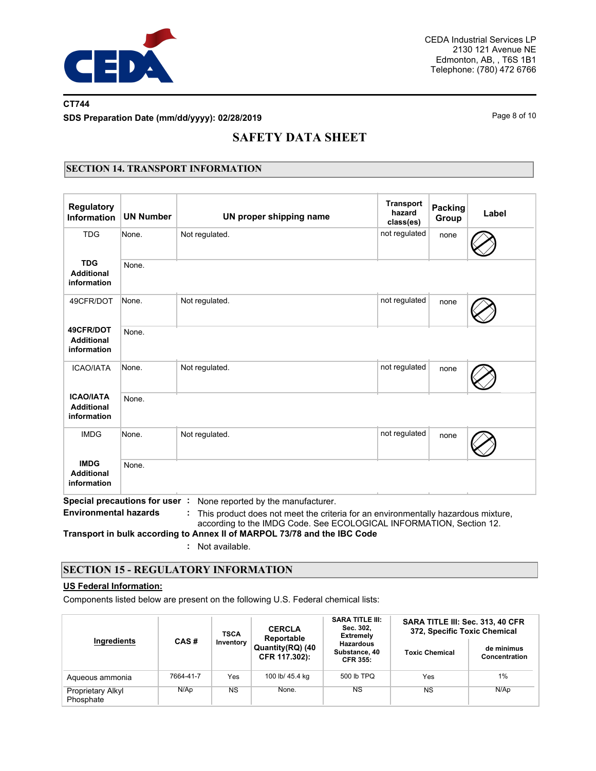

## **CT744 SDS Preparation Date (mm/dd/yyyy): 02/28/2019 Page 8 of 10** Page 8 of 10

# **SAFETY DATA SHEET**

### **SECTION 14. TRANSPORT INFORMATION**

| <b>Regulatory</b><br><b>Information</b>                  | <b>UN Number</b>               | UN proper shipping name                                                                                                                                                                        | <b>Transport</b><br>hazard<br>class(es) | Packing<br>Group | Label |  |  |
|----------------------------------------------------------|--------------------------------|------------------------------------------------------------------------------------------------------------------------------------------------------------------------------------------------|-----------------------------------------|------------------|-------|--|--|
| <b>TDG</b>                                               | None.                          | Not regulated.                                                                                                                                                                                 | not regulated                           | none             |       |  |  |
| <b>TDG</b><br><b>Additional</b><br>information           | None.                          |                                                                                                                                                                                                |                                         |                  |       |  |  |
| 49CFR/DOT                                                | None.                          | Not regulated.                                                                                                                                                                                 | not regulated                           | none             |       |  |  |
| 49CFR/DOT<br><b>Additional</b><br>information            | None.                          |                                                                                                                                                                                                |                                         |                  |       |  |  |
| <b>ICAO/IATA</b>                                         | None.                          | Not regulated.                                                                                                                                                                                 | not regulated                           | none             |       |  |  |
| <b>ICAO/IATA</b><br><b>Additional</b><br>information     | None.                          |                                                                                                                                                                                                |                                         |                  |       |  |  |
| <b>IMDG</b>                                              | None.                          | Not regulated.                                                                                                                                                                                 | not regulated                           | none             |       |  |  |
| <b>IMDG</b><br>None.<br><b>Additional</b><br>information |                                |                                                                                                                                                                                                |                                         |                  |       |  |  |
| <b>Environmental hazards</b>                             | Special precautions for user : | None reported by the manufacturer.<br>This product does not meet the criteria for an environmentally hazardous mixture,<br>according to the IMDG Code. See ECOLOGICAL INFORMATION, Section 12. |                                         |                  |       |  |  |

**Transport in bulk according to Annex II of MARPOL 73/78 and the IBC Code**

**:** Not available.

## **SECTION 15 - REGULATORY INFORMATION**

#### **US Federal Information:**

Components listed below are present on the following U.S. Federal chemical lists:

| Ingredients<br>CAS#            | <b>TSCA</b> |           | <b>CERCLA</b><br>Reportable       | <b>SARA TITLE III:</b><br>Sec. 302.<br>Extremely     | SARA TITLE III: Sec. 313, 40 CFR<br>372, Specific Toxic Chemical |                             |  |
|--------------------------------|-------------|-----------|-----------------------------------|------------------------------------------------------|------------------------------------------------------------------|-----------------------------|--|
|                                |             | Inventory | Quantity(RQ) (40<br>CFR 117.302): | <b>Hazardous</b><br>Substance, 40<br><b>CFR 355:</b> | <b>Toxic Chemical</b>                                            | de minimus<br>Concentration |  |
| Aqueous ammonia                | 7664-41-7   | Yes       | 100 lb/ 45.4 kg                   | 500 lb TPQ                                           | Yes                                                              | 1%                          |  |
| Proprietary Alkyl<br>Phosphate | N/Ap        | NS        | None.                             | <b>NS</b>                                            | <b>NS</b>                                                        | N/AD                        |  |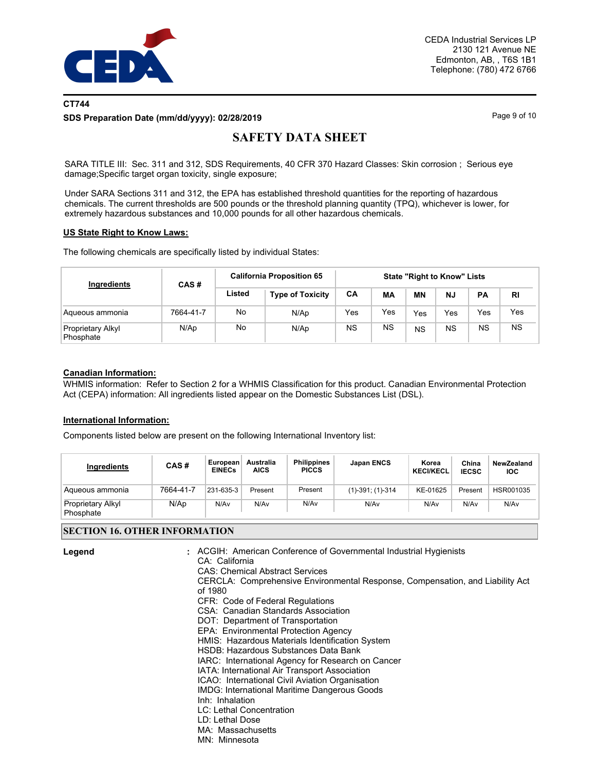

## **CT744 SDS Preparation Date (mm/dd/yyyy): 02/28/2019 Page 9 of 10** Page 9 of 10

# **SAFETY DATA SHEET**

SARA TITLE III: Sec. 311 and 312, SDS Requirements, 40 CFR 370 Hazard Classes: Skin corrosion ; Serious eye damage;Specific target organ toxicity, single exposure;

Under SARA Sections 311 and 312, the EPA has established threshold quantities for the reporting of hazardous chemicals. The current thresholds are 500 pounds or the threshold planning quantity (TPQ), whichever is lower, for extremely hazardous substances and 10,000 pounds for all other hazardous chemicals.

#### **US State Right to Know Laws:**

The following chemicals are specifically listed by individual States:

| Ingredients                           | CAS#      | <b>California Proposition 65</b> | <b>State "Right to Know" Lists</b> |           |           |           |           |           |           |
|---------------------------------------|-----------|----------------------------------|------------------------------------|-----------|-----------|-----------|-----------|-----------|-----------|
|                                       |           | Listed                           | <b>Type of Toxicity</b>            | CA        | MA        | ΜN        | <b>NJ</b> | PA        | RI        |
| Aqueous ammonia                       | 7664-41-7 | No                               | N/Ap                               | Yes       | Yes       | Yes       | Yes       | Yes       | Yes       |
| <b>Proprietary Alkyl</b><br>Phosphate | N/Ap      | No                               | N/Ap                               | <b>NS</b> | <b>NS</b> | <b>NS</b> | ΝS        | <b>NS</b> | <b>NS</b> |

### **Canadian Information:**

WHMIS information: Refer to Section 2 for a WHMIS Classification for this product. Canadian Environmental Protection Act (CEPA) information: All ingredients listed appear on the Domestic Substances List (DSL).

#### **International Information:**

Components listed below are present on the following International Inventory list:

| Ingredients                    | CAS#      | <b>European</b><br><b>EINECs</b> | Australia<br>AICS | <b>Philippines</b><br><b>PICCS</b> | <b>Japan ENCS</b>     | Korea<br><b>KECI/KECL</b> | China<br><b>IECSC</b> | NewZealand<br><b>IOC</b> |
|--------------------------------|-----------|----------------------------------|-------------------|------------------------------------|-----------------------|---------------------------|-----------------------|--------------------------|
| Aqueous ammonia                | 7664-41-7 | 231-635-3                        | Present           | Present                            | $(1)-391$ ; $(1)-314$ | KE-01625                  | Present               | HSR001035                |
| Proprietary Alkyl<br>Phosphate | N/Ap      | N/Av                             | N/Av              | N/Av                               | N/Av                  | N/Av                      | N/Av                  | N/Av                     |

#### **SECTION 16. OTHER INFORMATION**

|                                    | Legend | : ACGIH: American Conference of Governmental Industrial Hygienists<br>CA: California<br><b>CAS: Chemical Abstract Services</b><br>CERCLA: Comprehensive Environmental Response, Compensation, and Liability Act<br>of 1980<br>CFR: Code of Federal Regulations<br>CSA: Canadian Standards Association<br>DOT: Department of Transportation<br>EPA: Environmental Protection Agency<br>HMIS: Hazardous Materials Identification System<br>HSDB: Hazardous Substances Data Bank<br>IARC: International Agency for Research on Cancer<br>IATA: International Air Transport Association<br>ICAO: International Civil Aviation Organisation<br>IMDG: International Maritime Dangerous Goods<br>Inh: Inhalation<br>LC: Lethal Concentration<br>LD: Lethal Dose |  |
|------------------------------------|--------|----------------------------------------------------------------------------------------------------------------------------------------------------------------------------------------------------------------------------------------------------------------------------------------------------------------------------------------------------------------------------------------------------------------------------------------------------------------------------------------------------------------------------------------------------------------------------------------------------------------------------------------------------------------------------------------------------------------------------------------------------------|--|
| MA: Massachusetts<br>MN: Minnesota |        |                                                                                                                                                                                                                                                                                                                                                                                                                                                                                                                                                                                                                                                                                                                                                          |  |